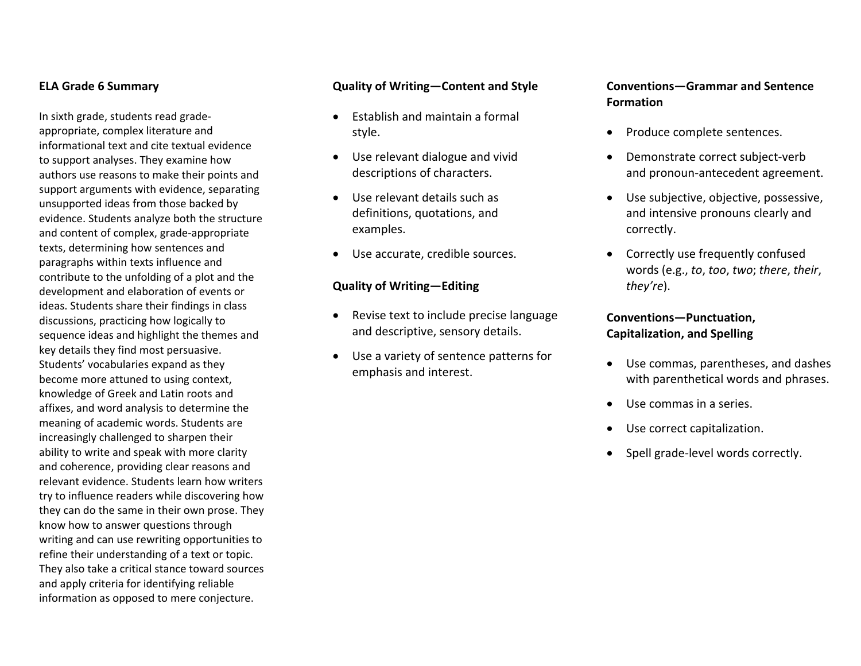#### **ELA Grade 6 Summary**

In sixth grade, students read grade‐ appropriate, complex literature and informational text and cite textual evidence to support analyses. They examine how authors use reasons to make their points and support arguments with evidence, separating unsupported ideas from those backed by evidence. Students analyze both the structure and content of complex, grade‐appropriate texts, determining how sentences and paragraphs within texts influence and contribute to the unfolding of <sup>a</sup> plot and the development and elaboration of events or ideas. Students share their findings in class discussions, practicing how logically to sequence ideas and highlight the themes and key details they find most persuasive. Students' vocabularies expand as they become more attuned to using context, knowledge of Greek and Latin roots and affixes, and word analysis to determine the meaning of academic words. Students are increasingly challenged to sharpen their ability to write and speak with more clarity and coherence, providing clear reasons and relevant evidence. Students learn how writers try to influence readers while discovering how they can do the same in their own prose. They know how to answer questions through writing and can use rewriting opportunities to refine their understanding of <sup>a</sup> text or topic. They also take <sup>a</sup> critical stance toward sources and apply criteria for identifying reliable information as opposed to mere conjecture.

#### **Quality of Writing—Content and Style**

- Establish and maintain <sup>a</sup> formal style.
- Use relevant dialogue and vivid descriptions of characters.
- Use relevant details such as definitions, quotations, and examples.
- $\bullet$ Use accurate, credible sources.

#### **Quality of Writing—Editing**

- Revise text to include precise language and descriptive, sensory details.
- Use <sup>a</sup> variety of sentence patterns for emphasis and interest.

### **Conventions—Grammar and Sentence Formation**

- Produce complete sentences.
- 0 ● Demonstrate correct subject-verb and pronoun‐antecedent agreement.
- Use subjective, objective, possessive, and intensive pronouns clearly and correctly.
- Correctly use frequently confused words (e.g., *to*, *too*, *two*; *there*, *their*, *they're*).

### **Conventions—Punctuation, Capitalization, and Spelling**

- Use commas, parentheses, and dashes with parenthetical words and phrases.
- Use commas in <sup>a</sup> series.
- Use correct capitalization.
- Spell grade-level words correctly.